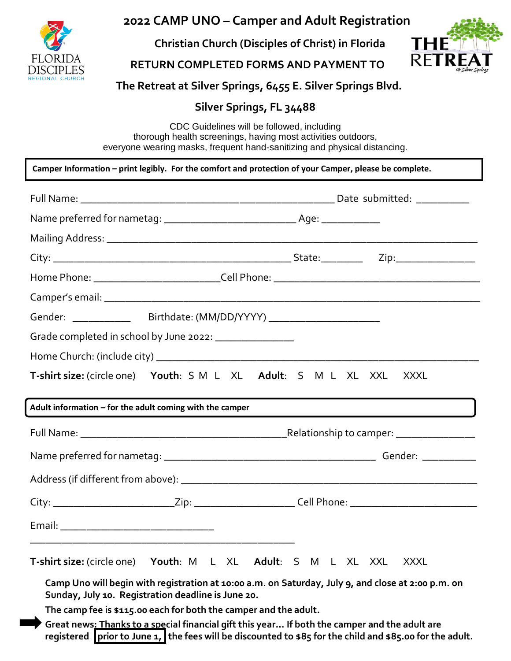

# **2022 CAMP UNO – Camper and Adult Registration**

 **Christian Church (Disciples of Christ) in Florida**



## **RETURN COMPLETED FORMS AND PAYMENT TO**

## **The Retreat at Silver Springs, 6455 E. Silver Springs Blvd.**

## **Silver Springs, FL 34488**

CDC Guidelines will be followed, including thorough health screenings, having most activities outdoors, everyone wearing masks, frequent hand-sanitizing and physical distancing.

|                                   | Camper Information – print legibly. For the comfort and protection of your Camper, please be complete.                                                                                                                                                                               |                     |             |
|-----------------------------------|--------------------------------------------------------------------------------------------------------------------------------------------------------------------------------------------------------------------------------------------------------------------------------------|---------------------|-------------|
|                                   |                                                                                                                                                                                                                                                                                      |                     |             |
|                                   |                                                                                                                                                                                                                                                                                      |                     |             |
|                                   |                                                                                                                                                                                                                                                                                      |                     |             |
|                                   |                                                                                                                                                                                                                                                                                      |                     |             |
|                                   |                                                                                                                                                                                                                                                                                      |                     |             |
|                                   |                                                                                                                                                                                                                                                                                      |                     |             |
|                                   | Gender: ___________________Birthdate: (MM/DD/YYYY) _____________________________                                                                                                                                                                                                     |                     |             |
|                                   | Grade completed in school by June 2022: _________________                                                                                                                                                                                                                            |                     |             |
|                                   |                                                                                                                                                                                                                                                                                      |                     |             |
|                                   | T-shirt size: (circle one) Youth: S M L XL Adult: S M L XL XXL                                                                                                                                                                                                                       |                     | XXXL        |
|                                   | Adult information $-$ for the adult coming with the camper                                                                                                                                                                                                                           |                     |             |
|                                   |                                                                                                                                                                                                                                                                                      |                     |             |
|                                   |                                                                                                                                                                                                                                                                                      |                     |             |
|                                   |                                                                                                                                                                                                                                                                                      |                     |             |
|                                   | City: ____________________________Zip: ________________________Cell Phone: _________________________                                                                                                                                                                                 |                     |             |
|                                   |                                                                                                                                                                                                                                                                                      |                     |             |
| <b>T-shirt size:</b> (circle one) | Youth: M L XL<br>Camp Uno will begin with registration at 10:00 a.m. on Saturday, July 9, and close at 2:00 p.m. on<br>Sunday, July 10. Registration deadline is June 20.                                                                                                            | Adult: S M L XL XXL | <b>XXXL</b> |
|                                   | The camp fee is \$115.00 each for both the camper and the adult.<br>Great news: Thanks to a special financial gift this year If both the camper and the adult are<br>registered $\int$ prior to June 1, the fees will be discounted to \$85 for the child and \$85.00 for the adult. |                     |             |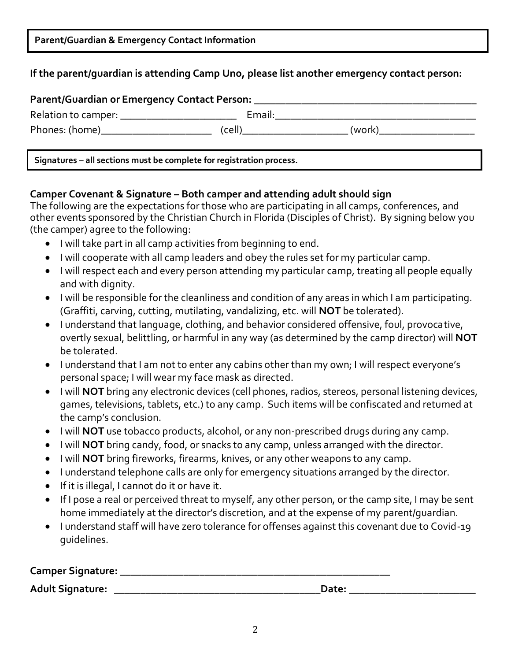|  |  | Parent/Guardian & Emergency Contact Information |
|--|--|-------------------------------------------------|
|--|--|-------------------------------------------------|

## **If the parent/guardian is attending Camp Uno, please list another emergency contact person:**

| Parent/Guardian or Emergency Contact Person: |        |        |  |
|----------------------------------------------|--------|--------|--|
| Relation to camper: __                       | Email: |        |  |
| Phones: (home)                               | (cell) | (work) |  |

**Signatures – all sections must be complete for registration process.**

### **Camper Covenant & Signature – Both camper and attending adult should sign**

The following are the expectations for those who are participating in all camps, conferences, and other events sponsored by the Christian Church in Florida (Disciples of Christ). By signing below you (the camper) agree to the following:

- I will take part in all camp activities from beginning to end.
- I will cooperate with all camp leaders and obey the rules set for my particular camp.
- I will respect each and every person attending my particular camp, treating all people equally and with dignity.
- I will be responsible for the cleanliness and condition of any areas in which I am participating. (Graffiti, carving, cutting, mutilating, vandalizing, etc. will **NOT** be tolerated).
- I understand that language, clothing, and behavior considered offensive, foul, provocative, overtly sexual, belittling, or harmful in any way (as determined by the camp director) will **NOT** be tolerated.
- I understand that I am not to enter any cabins other than my own; I will respect everyone's personal space; I will wear my face mask as directed.
- I will **NOT** bring any electronic devices (cell phones, radios, stereos, personal listening devices, games, televisions, tablets, etc.) to any camp. Such items will be confiscated and returned at the camp's conclusion.
- I will **NOT** use tobacco products, alcohol, or any non-prescribed drugs during any camp.
- I will **NOT** bring candy, food, or snacks to any camp, unless arranged with the director.
- I will **NOT** bring fireworks, firearms, knives, or any other weapons to any camp.
- I understand telephone calls are only for emergency situations arranged by the director.
- If it is illegal, I cannot do it or have it.
- If I pose a real or perceived threat to myself, any other person, or the camp site, I may be sent home immediately at the director's discretion, and at the expense of my parent/guardian.
- I understand staff will have zero tolerance for offenses against this covenant due to Covid-19 guidelines.

| Camper Signature:       |       |  |
|-------------------------|-------|--|
| <b>Adult Signature:</b> | Date: |  |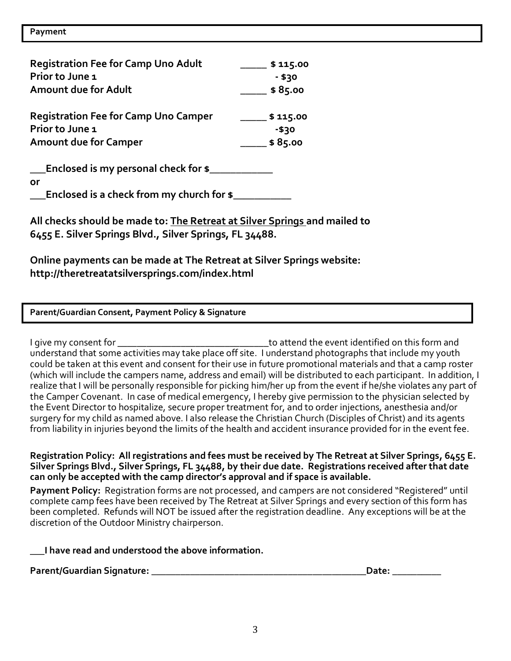| <b>Registration Fee for Camp Uno Adult</b>  | \$115.00 |
|---------------------------------------------|----------|
| Prior to June 1                             | $- $30$  |
| Amount due for Adult                        | \$85.00  |
| <b>Registration Fee for Camp Uno Camper</b> | \$115.00 |
| Prior to June 1                             | -\$30    |
| <b>Amount due for Camper</b>                | \$85.00  |
| Enclosed is my personal check for \$        |          |

**or**

**\_\_\_Enclosed is a check from my church for \$\_\_\_\_\_\_\_\_\_\_\_**

**All checks should be made to: The Retreat at Silver Springs and mailed to 6455 E. Silver Springs Blvd., Silver Springs, FL 34488.**

**Online payments can be made at The Retreat at Silver Springs website: http://theretreatatsilversprings.com/index.html**

**Parent/Guardian Consent, Payment Policy & Signature**

I give my consent for \_\_\_\_\_\_\_\_\_\_\_\_\_\_\_\_\_\_\_\_\_\_\_\_\_\_\_\_\_\_\_to attend the event identified on this form and understand that some activities may take place off site. I understand photographs that include my youth could be taken at this event and consent for their use in future promotional materials and that a camp roster (which will include the campers name, address and email) will be distributed to each participant. In addition, I realize that I will be personally responsible for picking him/her up from the event if he/she violates any part of the Camper Covenant. In case of medical emergency, I hereby give permission to the physician selected by the Event Director to hospitalize, secure proper treatment for, and to order injections, anesthesia and/or surgery for my child as named above. I also release the Christian Church (Disciples of Christ) and its agents from liability in injuries beyond the limits of the health and accident insurance provided for in the event fee.

**Registration Policy: All registrations and fees must be received by The Retreat at Silver Springs, 6455 E. Silver Springs Blvd., Silver Springs, FL 34488, by their due date. Registrations received after that date can only be accepted with the camp director's approval and if space is available.** 

**Payment Policy:** Registration forms are not processed, and campers are not considered "Registered" until complete camp fees have been received by The Retreat at Silver Springs and every section of this form has been completed. Refunds will NOT be issued after the registration deadline. Any exceptions will be at the discretion of the Outdoor Ministry chairperson.

### **\_\_\_I have read and understood the above information.**

**Parent/Guardian Signature: \_\_\_\_\_\_\_\_\_\_\_\_\_\_\_\_\_\_\_\_\_\_\_\_\_\_\_\_\_\_\_\_\_\_\_\_\_\_\_\_\_\_\_\_Date: \_\_\_\_\_\_\_\_\_\_**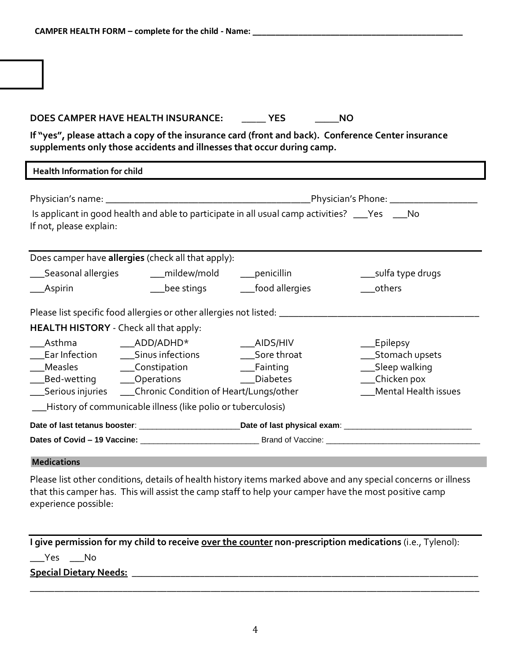### **DOES CAMPER HAVE HEALTH INSURANCE: \_\_\_\_\_ YES \_\_\_\_\_NO**

**If "yes", please attach a copy of the insurance card (front and back). Conference Center insurance supplements only those accidents and illnesses that occur during camp.**

| <b>Health Information for child</b>                                                                                                                                                                                                                                                                                                           |  |  |
|-----------------------------------------------------------------------------------------------------------------------------------------------------------------------------------------------------------------------------------------------------------------------------------------------------------------------------------------------|--|--|
| Is applicant in good health and able to participate in all usual camp activities? ___Yes ___No<br>If not, please explain:                                                                                                                                                                                                                     |  |  |
| Does camper have allergies (check all that apply):<br>___Seasonal allergies _______mildew/mold ______penicillin<br>__sulfa type drugs<br>__bee stings __________food allergies<br>others<br>$\_$ Aspirin                                                                                                                                      |  |  |
| Please list specific food allergies or other allergies not listed: _________________________________<br>HEALTH HISTORY - Check all that apply:                                                                                                                                                                                                |  |  |
| Asthma<br>ADD/ADHD*<br>__Epilepsy<br>$\overline{\phantom{0}}$ AIDS/HIV<br>Ear Infection _______Sinus infections<br>Sore throat<br>___Stomach upsets<br>___Sleep walking<br>__Chicken pox<br>__Bed-wetting _____Operations _____________Diabetes<br>__ Mental Health issues<br>___Serious injuries _____Chronic Condition of Heart/Lungs/other |  |  |
| __History of communicable illness (like polio or tuberculosis)<br>Date of last tetanus booster: _________________________________Date of last physical exam: _________________________                                                                                                                                                        |  |  |

#### **Medications**

Please list other conditions, details of health history items marked above and any special concerns or illness that this camper has. This will assist the camp staff to help your camper have the most positive camp experience possible:

**I give permission for my child to receive over the counter non-prescription medications** (i.e., Tylenol):  $\rule{1em}{0.15mm}$   $\qquad$   $\qquad$   $\qquad$   $\blacksquare$   $\blacksquare$   $\blacksquare$   $\blacksquare$   $\blacksquare$   $\blacksquare$   $\blacksquare$   $\blacksquare$ **Special Dietary Needs:** \_\_\_\_\_\_\_\_\_\_\_\_\_\_\_\_\_\_\_\_\_\_\_\_\_\_\_\_\_\_\_\_\_\_\_\_\_\_\_\_\_\_\_\_\_\_\_\_\_\_\_\_\_\_\_\_\_\_\_\_\_\_\_\_\_\_\_\_\_\_\_

\_\_\_\_\_\_\_\_\_\_\_\_\_\_\_\_\_\_\_\_\_\_\_\_\_\_\_\_\_\_\_\_\_\_\_\_\_\_\_\_\_\_\_\_\_\_\_\_\_\_\_\_\_\_\_\_\_\_\_\_\_\_\_\_\_\_\_\_\_\_\_\_\_\_\_\_\_\_\_\_\_\_\_\_\_\_\_\_\_\_\_\_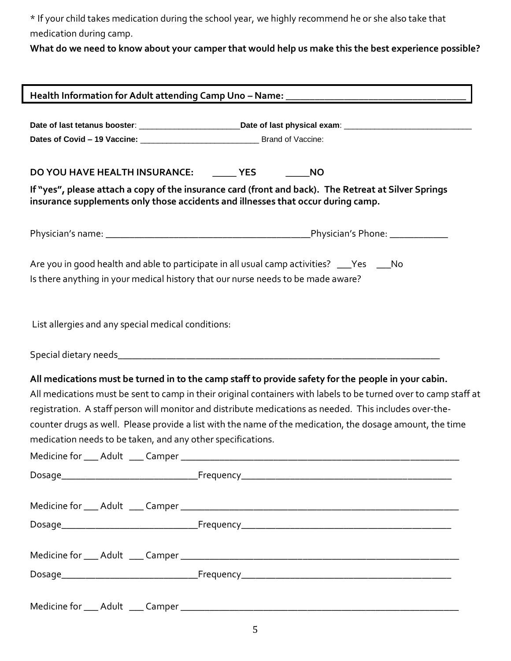\* If your child takes medication during the school year, we highly recommend he or she also take that medication during camp.

**What do we need to know about your camper that would help us make this the best experience possible?**

|                                                    | DO YOU HAVE HEALTH INSURANCE: _______ YES<br><b>NO</b>                                                                                                                                                                                                                                                                                                                                     |
|----------------------------------------------------|--------------------------------------------------------------------------------------------------------------------------------------------------------------------------------------------------------------------------------------------------------------------------------------------------------------------------------------------------------------------------------------------|
|                                                    | If "yes", please attach a copy of the insurance card (front and back). The Retreat at Silver Springs<br>insurance supplements only those accidents and illnesses that occur during camp.                                                                                                                                                                                                   |
|                                                    |                                                                                                                                                                                                                                                                                                                                                                                            |
|                                                    | Are you in good health and able to participate in all usual camp activities? ___Yes ___No                                                                                                                                                                                                                                                                                                  |
|                                                    | Is there anything in your medical history that our nurse needs to be made aware?                                                                                                                                                                                                                                                                                                           |
| List allergies and any special medical conditions: |                                                                                                                                                                                                                                                                                                                                                                                            |
|                                                    |                                                                                                                                                                                                                                                                                                                                                                                            |
|                                                    |                                                                                                                                                                                                                                                                                                                                                                                            |
|                                                    | All medications must be turned in to the camp staff to provide safety for the people in your cabin.<br>registration. A staff person will monitor and distribute medications as needed. This includes over-the-<br>counter drugs as well. Please provide a list with the name of the medication, the dosage amount, the time<br>medication needs to be taken, and any other specifications. |
|                                                    | Medicine for ___ Adult ____ Camper __________________                                                                                                                                                                                                                                                                                                                                      |
|                                                    |                                                                                                                                                                                                                                                                                                                                                                                            |
|                                                    |                                                                                                                                                                                                                                                                                                                                                                                            |
|                                                    | All medications must be sent to camp in their original containers with labels to be turned over to camp staff at                                                                                                                                                                                                                                                                           |
|                                                    |                                                                                                                                                                                                                                                                                                                                                                                            |